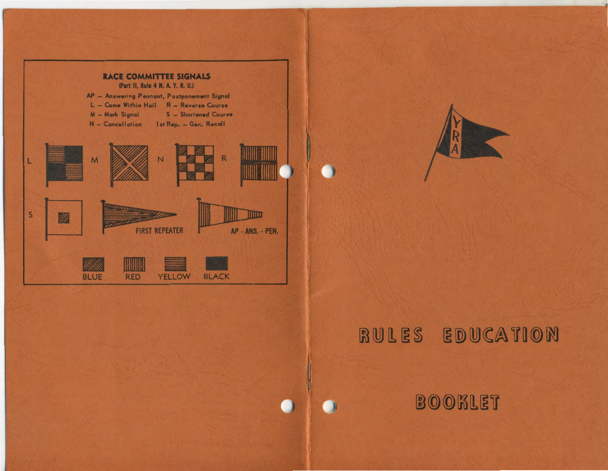

# RULES EDUCATION

BOOKLET

n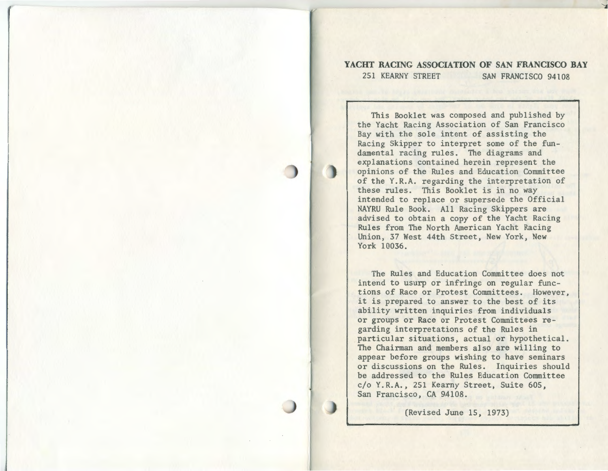# **YACHT RACING ASSOCIATION OF SAN FRANCISCO BAY** 251 KEARNY STREET SAN FRANCISCO 94108

This Booklet was composed and published by the Yacht Racing Association of San Francisco Bay with the sole intent of assisting the Racing Skipper to interpret some of the fundamental racing rules. The diagrams and explanations contained herein represent the opinions of the Rules and Education Committee of the Y.R.A. regarding the interpretation of these rules. This Booklet is in no way intended to replace or supersede the Official NAYRU Rule Book. All Racing Skippers are advised to obtain a copy of the Yacht Racing Rules from The North American Yacht Racing Union, 37 West 44th Street, New York, New York 10036.

The Rules and Education Committee does not intend to usurp or infringe on regular functions of Race or Protest Committees. However, it is prepared to answer to the best of its ability written inquiries from individuals or groups or Race or Protest Committees regarding interpretations of the Rules in particular situations, actual or hypothetical. The Chairman and members also are willing to appear before groups wishing to have seminars or discussions on the Rules. Inquiries should be addressed to the Rules Education Committee c/o Y.R.A., 251 Kearny Street, Suite 605, San Francisco, CA 94108.

(Revised June 15, 1973)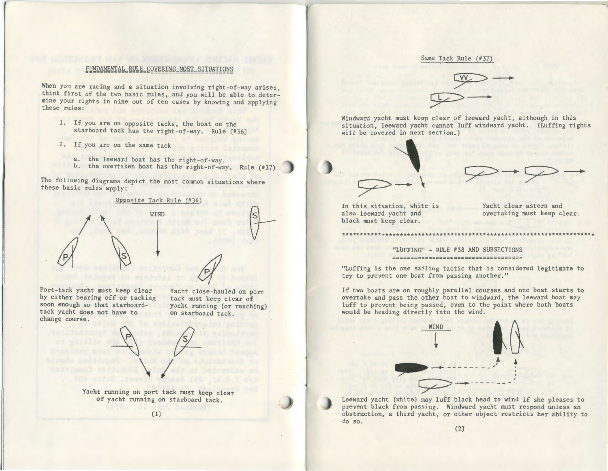#### FUNDAMENTAL RULE COVERING MOST SITUATIONS =========================================

When you are racing and a situation involving right-of-way arises, think first of the two basic rules, and you will be able to determine your rights in nine out of ten cases by knowing and applying these rules:

- 1. If you are on opposite tacks, the boat on the starboard tack has the right-of-way. Rule (#36)
- 2. If you are on the same tack
	- a. the leeward boat has the right-of-way.
	- b. the overtaken boat has the right-of-way. Rule (#37)

The following diagrams depict the most common situations where these basic rules apply:



' Port-tack yacht must keep clear by either bearing off or tacking soon enough so that starboardtack yacht does not have to change course.

Yacht close-hauled on port tack must keep clear of yacht running (or reaching) on starboard tack.



t<sub>t</sub>



#### Same Tack Rule (#37)



Windward yacht must keep clear of leeward yacht, although in this situation, leeward yacht cannot luff windward yacht. (Luffing rights will be covered in next section.)

In this situation, white is also leeward yacht and black must keep clear.

 $\Rightarrow$ 

Yacht clear astern and overtaking must keep clear.

\*\*\*\*\*\*\*\*\*\*\*\*\*\*\*\*\*\*\*\*\*\*\*\*\*\*\*\*\*\*\*\*\*\*\*\*\*\*\*\*\*\*\*\*\*\*\*\*\*\*\*\*\*\*\*\*\*\*\*\*\*\*\*\*\*\*\*\*\*\*

"LUFFING" - RULE #38 AND SUBSECTIONS 

"Luffing is the one sailing tactic that is considered legitimate to try to prevent one boat from passing another."

If two boats are on roughly parallel courses and one boat starts to overtake and pass the other boat to windward, the leeward boat may luff to prevent being passed, even to the point where both boats would be heading directly into the wind.



Leeward yacht (white) may luff black head to wind if she pleases to prevent black from passing. Windward yacht must respond unless an obstruction, a third yacht, or other object restricts her ability to do so.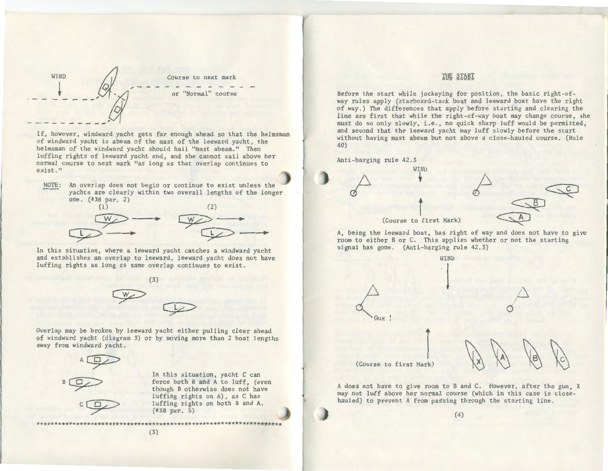WIND Course to next mark  $\frac{1}{1}$ or "Normal" course

--

If, however, windward yacht gets far enough ahead so that the helmsman of windward yacht is abeam of the mast of the leeward yacht, the helmsman of the windward yacht should hail "mast abeam." Then luffing rights of leeward yacht end, and she cannot sail above her normal course to next mark "as long as that overlap continues to exist."

NOTE: An overlap does not begin or continue to exist unless the yachts are clearly within two overall lengths of the longer one. (#38 par. 2)



In this situation, where a leeward yacht catches a windward yacht and establishes an overlap to leeward, leeward yacht does not have luffing rights as long as same overlap continues to exist.



Overlap may be broken by leeward yacht either pulling clear ahead of windward yacht (diagram 3) or by moving more than 2 boat lengths away from windward yacht.



In this situation, yacht C can force both B and A to luff, (even though B otherwise does not have luffing rights on A), as C has luffing rights on both B and A. (#38 par. 5)

# THE START

Before the start while jockeying for position, the basic right-ofway rules apply (starboard-tack boat and leeward boat have the right of way.) The differences that apply before starting and clearing the line are first that while the right-of-way boat may change course, she must do so only slowly, i.e., no quick sharp luff would be permitted, and second that the leeward yacht may luff slowly before the start without having mast abeam but not above a close-hauled course. (Rule 40)

Anti-barging rule 42.3



A, being the leeward boat, has right of way and does not have to give room to either B or C. This applies whether or not the starting signal has gone. (Anti-barging rule 42.3)



A does not have to give room to B and C. However, after the gun, X may not luff above her normal course (which in this case is closehauled) to prevent A from passing through the starting line.

(4)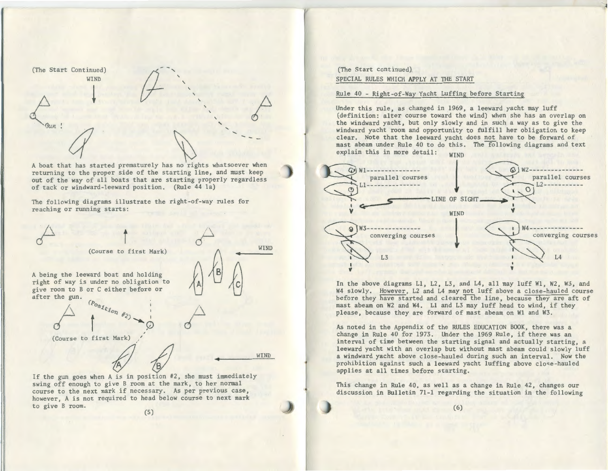(The Start Continued) WIND  $\downarrow$  $\frac{d}{d}$   $\frac{d}{d}$ 

A boat that has started prematurely has no rights whatsoever when returning to the proper side of the starting line, and must keep out of the way of all boats that are starting properly regardless of tack or windward-leeward position. (Rule 44 la)

*(/--,* 

' '  $\cdot$   $\cdot$ 

.... ..... .... \_

The following diagrams illustrate the right-of-way rules for reaching or running starts:



course to the next mark if necessary. As per previous case, however, A is not required to head below course to next mark to give B room.

(5)

(The Start continued) SPECIAL RULES WHICH APPLY AT THE START

#### Rule 40 - Right-of-Way Yacht Luffing before Starting

Under this rule, as changed in 1969, a leeward yacht may luff (definition: alter course toward the wind) when she has an overlap on the windward yacht, but only slowly and in such a way as to give the windward yacht room and opportunity to fulfill her obligation to keep clear. Note that the leeward yacht does not have to be forward of mast abeam under Rule 40 to do this. The following diagrams and text explain this in more detail:  $_{\text{WIND}}$ 



In the above diagrams Ll, L2, L3, and L4, all may luff Wl, W2, W3, and W4 slowly. However, L2 and L4 may not luff above a close-hauled course before they have started and cleared the line, because they are aft of mast abeam on W2 and W4. Ll and L3 may luff head to wind, if they please, because they are forward of mast abeam on Wl and W3.

As noted in the Appendix of the RULES EDUCATION BOOK, there was a change in Rule 40 for 1973. Under the 1969 Rule, if there was an interval of time between the starting signal and actually starting, a leeward yacht with an overlap but without mast abeam could slowly luff a windward yacht above close-hauled during such an interval. Now the prohibition against such a leeward yacht luffing above close-hauled applies at all times before starting.

This change in Rule 40, as well as a change in Rule 42, changes our discussion in Bulletin 71-1 regarding the situation in the following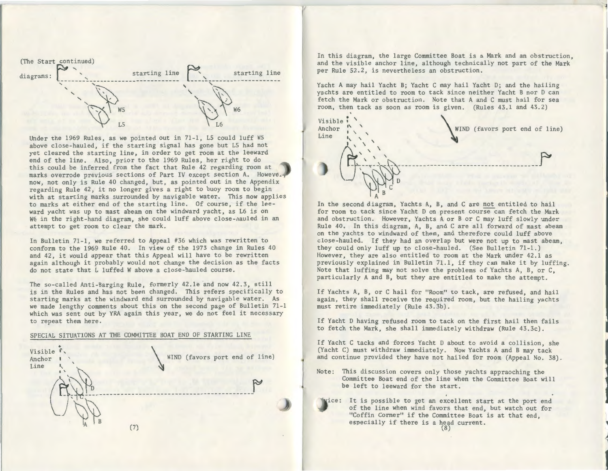

Under the 1969 Rules, as we pointed out in 71-1, LS could luff WS above close-hauled, if the starting signal has gone but LS had not yet cleared the starting line, in order to get room at the leeward end of the line. Also, prior to the 1969 Rules, her right to do this could be inferred from the fact that Rule 42 regarding room at marks overrode previous sections of Part IV except section A. Howeve. now, not only is Rule 40 changed, but, as pointed out in the Appendix regarding Rule 42, it no longer gives a right to buoy room to begin with at starting marks surrounded by navigable water. This now applies to marks at either end of the starting line. Of course, if the leeward yacht was up to mast abeam on the windward yacht, as L6 is on W6 in the right-hand diagram, she could luff above close-nauled in an attempt to get room to clear the mark.

In Bulletin 71-1, we referred to Appeal #36 which was rewritten to conform to the 1969 Rule 40. In view of the 1973 change in Rules 40 and 42, it would appear that this Appeal will have to be rewritten again although it probably would not change the decision as the facts do not state that L luffed W above a close-hauled course.

The so-called Anti-Barging Rule, formerly 42.le and now 42.3, still is in the Rules and has not been changed. This refers specifically to starting marks at the windward end surrounded by navigable water. As we made lengthy comments about this on the second page of Bulletin 71-1 which was sent out by YRA again this year, we do not feel it necessary to repeat them here.

#### SPECIAL SITUATIONS AT THE COMMITTEE BOAT END OF STARTING LINE



In this diagram, the large Committee Boat is a Mark and an obstruction, and the visible anchor line, although technically not part of the Mark per Rule 52.2, is nevertheless an obstruction.

1

*4* 

1

Yacht A may hail Yacht B; Yacht C may hail Yacht D; and the hailing yachts are entitled to room to tack since neither Yacht B nor D can fetch the Mark or obstruction. Note that A and C must hail for sea room, then tack as soon as room is given. (Rules 43.1 and 43. 2)



In the second diagram, Yachts A, B, and C are not entitled to hail for room to tack since Yacht D on present course can fetch the Mark and obstruction. However, Yachts A or B or C may luff slowly under Rule 40. In this diagram, A, B, and C are all forward of mast abeam on the yachts to windward of them, and therefore could luff above close-hauled. If they had an overlap but were not up to mast abeam, they could only luff up to close-hauled. (See Bulletin 71-1.) However, they are also entitled to room at the Mark under 42.1 as previously explained in Bulletin 71.1, if they can make it by luffing. Note that luffing may not solve the problems of Yachts A, B, or C, particularly A and B, but they are entitled to make the attempt.

If Yachts A, B, or C hail for "Room" to tack, are refused, and hail again, they shall receive the required room, but the hailing yachts must retire immediately (Rule 43.3b).

If Yacht D having refused room to tack on the first hail then fails to fetch the Mark, she shall immediately withdraw (Rule 43.3c).

If Yacht C tacks and forces Yacht D about to avoid a collision, she (Yacht C) must withdraw immediately. Now Yachts A and B may tack and continue provided they have not hailed for room (Appeal No. 38).

Note: This discussion covers only those yachts appraoching the Committee Boat end of the line when the Committee Boat will be left to leeward for the start.

wice: It is possible to get an excellent start at the port end of the line when wind favors that end, but watch out for "Coffin Corner" if the Committee Boat is at that end, especially if there is a head current.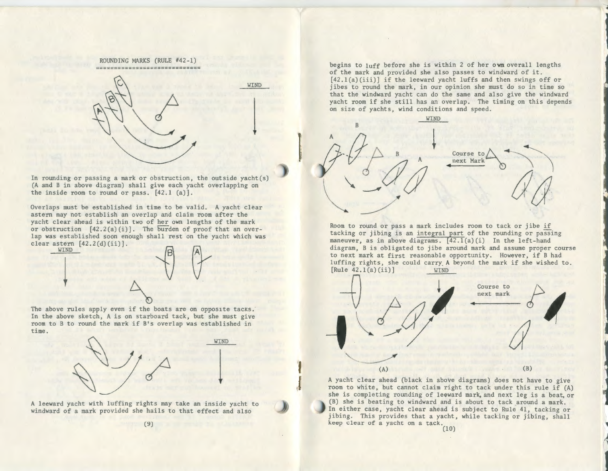ROUNDING MARKS (RULE #42-1) ==============================

WIND

l

 $\mathbf{J}$ 

 $\overline{1}$ 



In rounding or passing a mark or obstruction, the outside yacht(s) (A and B in above diagram) shall give each yacht overlapping on the inside room to round or pass. [42.1 (a)].

Overlaps must be established in time to be valid. A yacht clear astern may not establish an overlap and claim room after the yacht clear ahead is within two of her own lengths of the mark or obstruction  $[42.2(a)(i)]$ . The burden of proof that an overlap was established soon enough shall rest on the yacht which was clear astern  $[42.2(d)(ii)].$ 



The above rules apply even if the boats are on opposite tacks. In the above sketch, A is on starboard tack, but she must give room to B to round the mark if B's overlap was established in time.



A leeward yacht with luffing rights may take an inside yacht to windward of a mark provided she hails to that effect and also

begins to luff before she is within 2 of her own overall lengths of the mark and provided she also passes to windward of it.  $[42.1(a)(iii)]$  if the leeward yacht luffs and then swings off or jibes to round the mark, in our opinion she must do so in time so that the windward yacht can do the same and also give the windward yacht room if she still has an overlap. The timing on this depends on size of yachts, wind conditions and speed.

'--..

1



Room to round or pass a mark includes room to tack or jibe if tacking or jibing is an integral part of the rounding or passing maneuver, as in above diagrams. [42.1(a)(i) In the left-hand diagram, B is obligated to jibe around mark and assume proper course to next mark at first reasonable opportunity. However, if B had luffing rights, she could carry A beyond the mark if she wished to.<br>[Rule 42.1(a)(ii)] WIND



A yacht clear ahead (black in above diagrams) does not have to give room to white, but cannot claim right to tack under this rule if (A) she is completing rounding of leeward mark, and next leg is a beat, or (B) she is beating to windward and is about to tack around a mark. In either case, yacht clear ahead is subject to Rule 41, tacking or jibing. This provides that a yacht, while tacking or jibing, shall keep clear of a yacht on a tack. (10)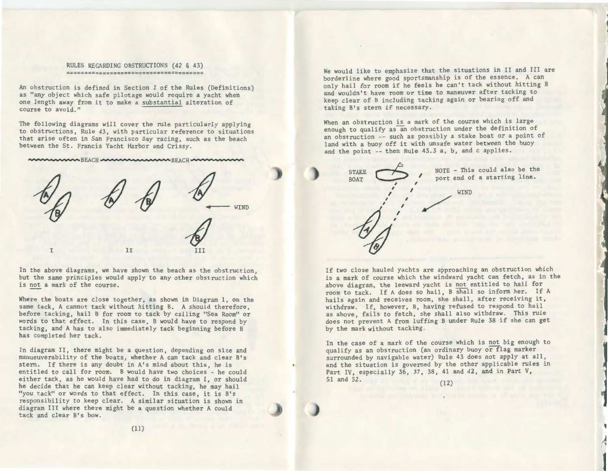#### RULES REGARDING OBSTRUCTIONS (42 & 43) ======================================

An obstruction is defined in Section I of the Rules (Definitions) as "any object which safe pilotage would require a yacht when one length away from it to make a substantial alteration of course to avoid."

The following diagrams will cover the rule particularly applying to obstructions, Rule 43, with particular reference to situations that arise often in San Francisco Bay racing, such as the beach between the St. Francis Yacht Harbor and Crissy.

-......-.·· -· "" BEACH \_ \_......... ·---.....BEACH -......\_....,.,...........,..



In the above diagrams, we have shown the beach as the obstruction, but the same principles would apply to any other obstruction which is not a mark of the course.

Where the boats are close together, as shown in Diagram l, on the same tack, A cannot tack without hitting B. A should therefore, before tacking, hail B for room to tack by calling "Sea Room" or words to that effect. In this case, B would have to respond by tacking, and A has to also immediately tack beginning before B has completed her tack.

In diagram II, there might be a question, depending on size and manueuverability of the boats, whether A can tack and clear B's stern. If there is any doubt in A's mind about this, he is entitled to call for room. B would have two choices - he could either tack, as he would have had to do in diagram I, or should he decide that he can keep clear without tacking, he may hail "you tack" or words to that effect. In this case, it is B's responsibility to keep clear. A similar situation is shown in diagram III where there might be a question whether A could tack and clear B's bow.

We would like to emphasize that the situations in II and III are borderline where good sportsmanship is of the essence. A can only hail for room if he feels he can't tack without hitting B and wouldn't have room or time to maneuver after tacking to keep clear of B including tacking again or bearing off and taking B's stern if necessary.

When an obstruction is a mark of the course which is large enough to qualify as an obstruction under the definition of an obstruction -- such as possibly a stake boat or a point of land with a buoy off it with unsafe water between the buoy and the point -- then Rule 43.3 a, b, and c applies.



If two close hauled yachts are approaching an obstruction which is a mark of course which the windward yacht can fetch, as in the above diagram, the leeward yacht is not entitled to hail for room to tack. If A does so hail, B shall so inform her. If A hails again and receives room, she shall, after receiving it, withdraw. If, however, B, having refused to respond to hail as above, fails to fetch, she shall also withdraw. This rule does not prevent A from luffing B under Rule 38 if she can get by the mark without tacking.

In the case of a mark of the course which is not big enough to qualify as an obstruction (an ordinary buoy or flag marker surrounded by navigable water) Rule 43 does not apply at all, and the situation is governed by the other applicable rules in Part IV, especially 36, 37, 38, 41 and 42, and in Part V, 51 and 52. (12)

,

1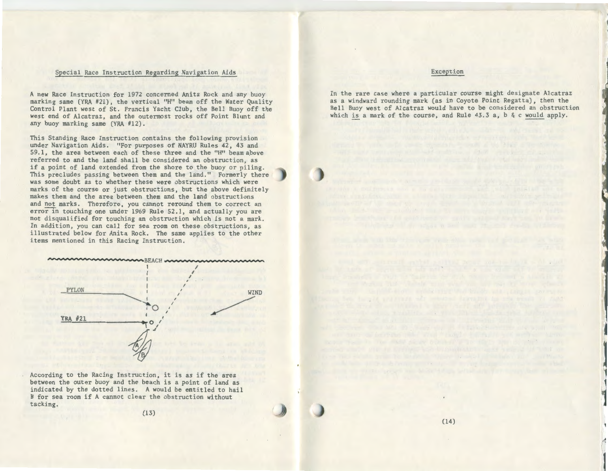#### Special Race Instruction Regarding Navigation Aids

A new Race Instruction for 1972 concerned Anita Rock and any buoy marking same (YRA #21), the vertical "H" beam off the Water Quality Control Plant west of St. Francis Yacht Club, the Bell Buoy off the west end of Alcatraz, and the outermost rocks off Point Blunt and any buoy marking same (YRA #12).

This Standing Race Instruction contains the following provision under Navigation Aids. "For purposes of NAYRU Rules 42, 43 and 59.1, the area between each of these three and the "H" beam apove referred to and the land shall be considered an obstruction, as if a point of land extended from the shore to the buoy or piling. This precludes passing between them and the land." Formerly there was some doubt as to whether these were obstructions which were marks of the course or just obstructions, but the above definitely makes them and the area between them and the land obstructions and not marks. Therefore, you cannot reround them to correct an error in touching one under 1969 Rule 52.1, and actually you are not disqualified for touching an obstruction which is not a mark. In addition, you can call for sea room on these obstructions, as illustrated below for Anita Rock. The same applies to the other items mentioned in this Racing Instruction.



According to the Racing Instruction, it is as if the area between the outer buoy and the beach is a point of land as indicated by the dotted lines. A would be entitled to hail B for sea room if A cannot clear the obstruction without tacking.

(13)

#### Exception

In the rare case where a particular course might designate Alcatraz as a windward rounding mark (as in Coyote Point Regatta), then the Bell Buoy west of Alcatraz would have to be considered an obstruction which is a mark of the course, and Rule 43.3 a, b & c would apply.

The same of the control of the same state of the con-

j

*t* 

.1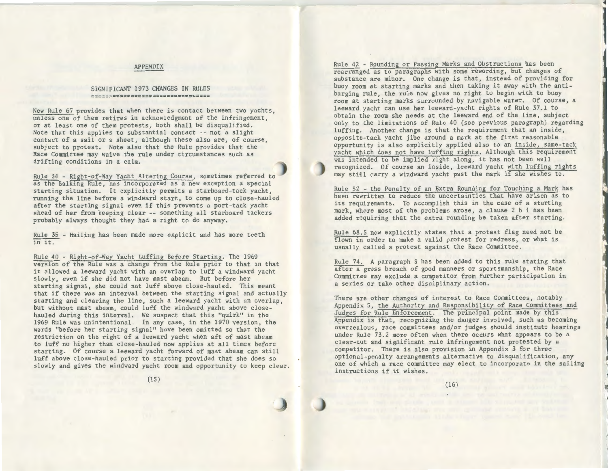## APPENDIX

# SIGNIFICANT 1973 CHANGES IN RULES =================================

New Rule 67 provides that when there is contact between two yachts, unless one of them retires in acknowledgment of the infringement, or at least one of them protests, both shall be disqualified. Note that this applies to substantial contact -- not a slight contact of a sail or a sheet, although these also are, of course, subject to protest. Note also that the Rule provides that the Race Committee may waive the rule under circumstances such as drifting conditions in a calm.

Rule 34 - Right-of-Way Yacht Altering Course, sometimes referred to as the Balking Rule, has incorporated as a new exception a special starting situation. It explicitly permits a starboard-tack yacht, running the line before a windward start, to come up to close-hauled after the starting signal even if this prevents a port-tack yacht ahead of her from keeping clear -- something all starboard tackers probably always thought they had a right to do anyway.

Rule 35 - Hailing has been made more explicit and has more teeth in it.

Rule 40 - Right-of-Way Yacht Luffing Before Starting. The 1969 version of the Rule was a change from the Rule prior to that in that it allowed a leeward yacht with an overlap to luff a windward yacht slowly, even if she did not have mast abeam. But before her starting signal, she could not luff above close-hauled. This meant that if there was an interval between the starting signal and actually starting and clearing the line, such a leeward yacht with an overlap, but without mast abeam, could luff the windward yacht above closehauled during this interval. We suspect that this "quirk" in the 1969 Rule was unintentional. In any case, in the 1970 version, the words "before her starting signal" have been omitted so that the restriction on the right of a leeward yacht when aft of mast abeam to luff no higher than close-hauled now applies at all times before starting. Of course a leeward yacht forward of mast abeam can still luff above close-hauled prior to starting provided that she does so slowly and gives the windward yacht room and opportunity to keep clear.

Rule 42 - Rounding or Passing Marks and Obstructions has been rearranged as to paragraphs with some rewording, but changes of substance are minor. One change is that, instead of providing for buoy room at starting marks and then taking it away with the antibarging rule, the rule now gives no right to begin with to buoy room at starting marks surrounded by navigable water. Of course, a leeward yacht can use her leeward-yacht rights of Rule 37.1 to obtain the room she needs at the leeward end of the line, subject only to the limitations of Rule 40 (see previous paragraph) regarding luffing. Another change is that the requirement that an inside, opposite-tack yacht jibe around a mark at the first reasonable opportunity is also explicitly applied also to an inside, same-tack yacht which does not have luffing rights. Although this requirement was intended to be implied right along, it has not been well recognized. Of course an inside, leeward yacht with luffing rights may still carry a windward yacht past the mark if she wishes to.

t

Rule 52 - the Penalty of an Extra Rounding for Touching a Mark has been rewritten to reduce the uncertainties that have arisen as to its requirements. To accomplish this in the case of a starting mark, where most of the problems arose, a clause 2 b i has been added requiring that the extra rounding be taken after starting.

Rule 68.5 now explicitly states that a protest flag need not be flown in order to make a valid protest for redress, or what is usually called a protest against the Race Committee.

Rule 74. A paragraph 3 has been added to this rule stating that after a gross breach of good manners or sportsmanship, the Race Committee may exclude a competitor from further participation in a series or take other disciplinary action.

There are other changes of interest to Race Committees, notably Appendix 5, the Authority and Responsibility of Race Committees and Judges for Rule Enforcement. The principal point made by this Appendix is that, recognizing the danger involved, such as becoming overzealous, race committees and/or judges should institute hearings under Rule 73.2 more often when there occurs what appears to be a clear-cut and significant rule infringement not protested by a competitor. There is also provision in Appendix 3 for three optional-penalty arrangements alternative to disqualification, any one of which a race committee may elect to incorporate in the sailing instructions if it wishes.

(15)

(16)